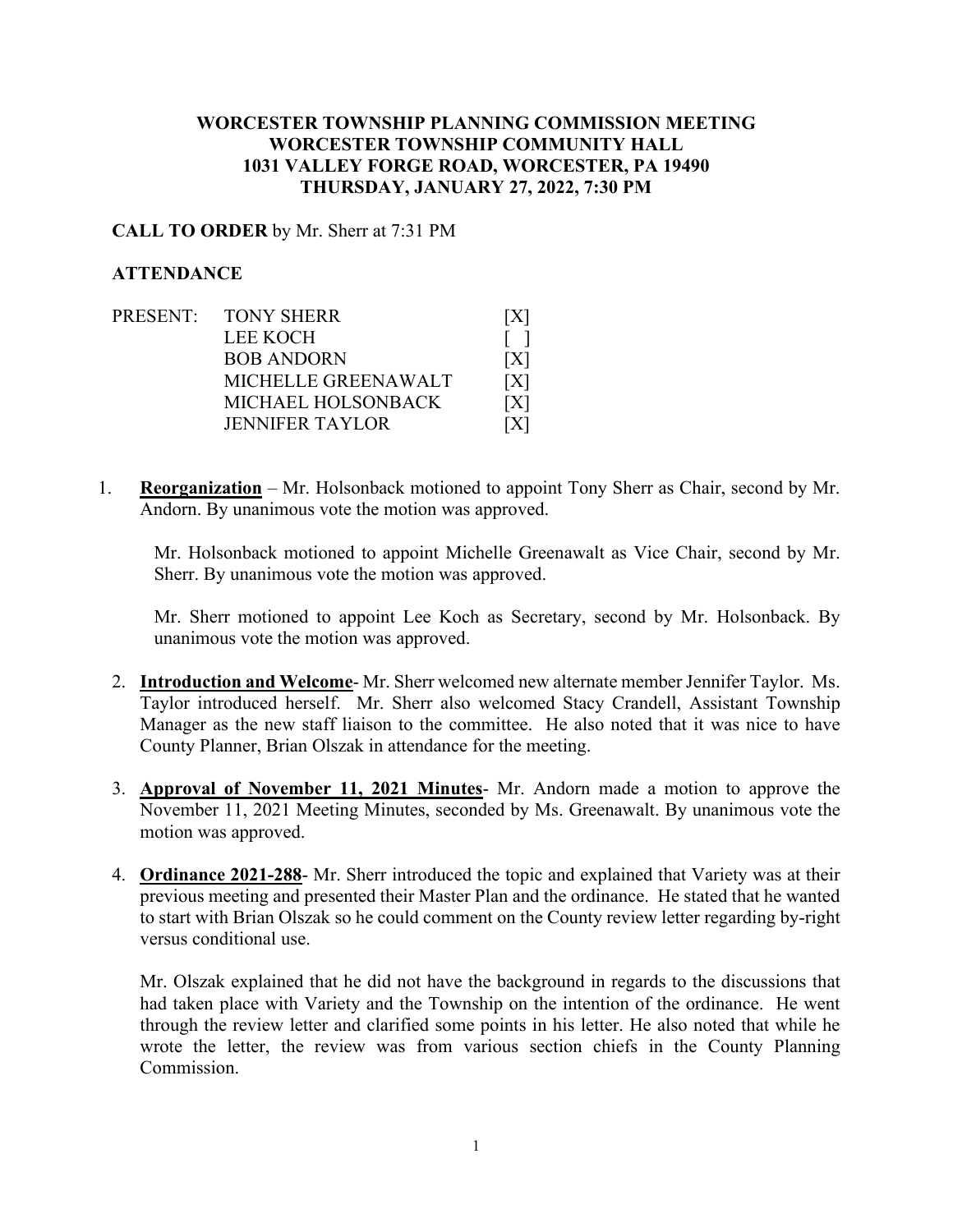## **WORCESTER TOWNSHIP PLANNING COMMISSION MEETING WORCESTER TOWNSHIP COMMUNITY HALL 1031 VALLEY FORGE ROAD, WORCESTER, PA 19490 THURSDAY, JANUARY 27, 2022, 7:30 PM**

## **CALL TO ORDER** by Mr. Sherr at 7:31 PM

## **ATTENDANCE**

- PRESENT: TONY SHERR [X] LEE KOCH [ ] BOB ANDORN [X] MICHELLE GREENAWALT [X] MICHAEL HOLSONBACK [X] JENNIFER TAYLOR [X]
- 1. **Reorganization** Mr. Holsonback motioned to appoint Tony Sherr as Chair, second by Mr. Andorn. By unanimous vote the motion was approved.

Mr. Holsonback motioned to appoint Michelle Greenawalt as Vice Chair, second by Mr. Sherr. By unanimous vote the motion was approved.

Mr. Sherr motioned to appoint Lee Koch as Secretary, second by Mr. Holsonback. By unanimous vote the motion was approved.

- 2. **Introduction and Welcome** Mr. Sherr welcomed new alternate member Jennifer Taylor. Ms. Taylor introduced herself. Mr. Sherr also welcomed Stacy Crandell, Assistant Township Manager as the new staff liaison to the committee. He also noted that it was nice to have County Planner, Brian Olszak in attendance for the meeting.
- 3. **Approval of November 11, 2021 Minutes** Mr. Andorn made a motion to approve the November 11, 2021 Meeting Minutes, seconded by Ms. Greenawalt. By unanimous vote the motion was approved.
- 4. **Ordinance 2021-288** Mr. Sherr introduced the topic and explained that Variety was at their previous meeting and presented their Master Plan and the ordinance. He stated that he wanted to start with Brian Olszak so he could comment on the County review letter regarding by-right versus conditional use.

Mr. Olszak explained that he did not have the background in regards to the discussions that had taken place with Variety and the Township on the intention of the ordinance. He went through the review letter and clarified some points in his letter. He also noted that while he wrote the letter, the review was from various section chiefs in the County Planning Commission.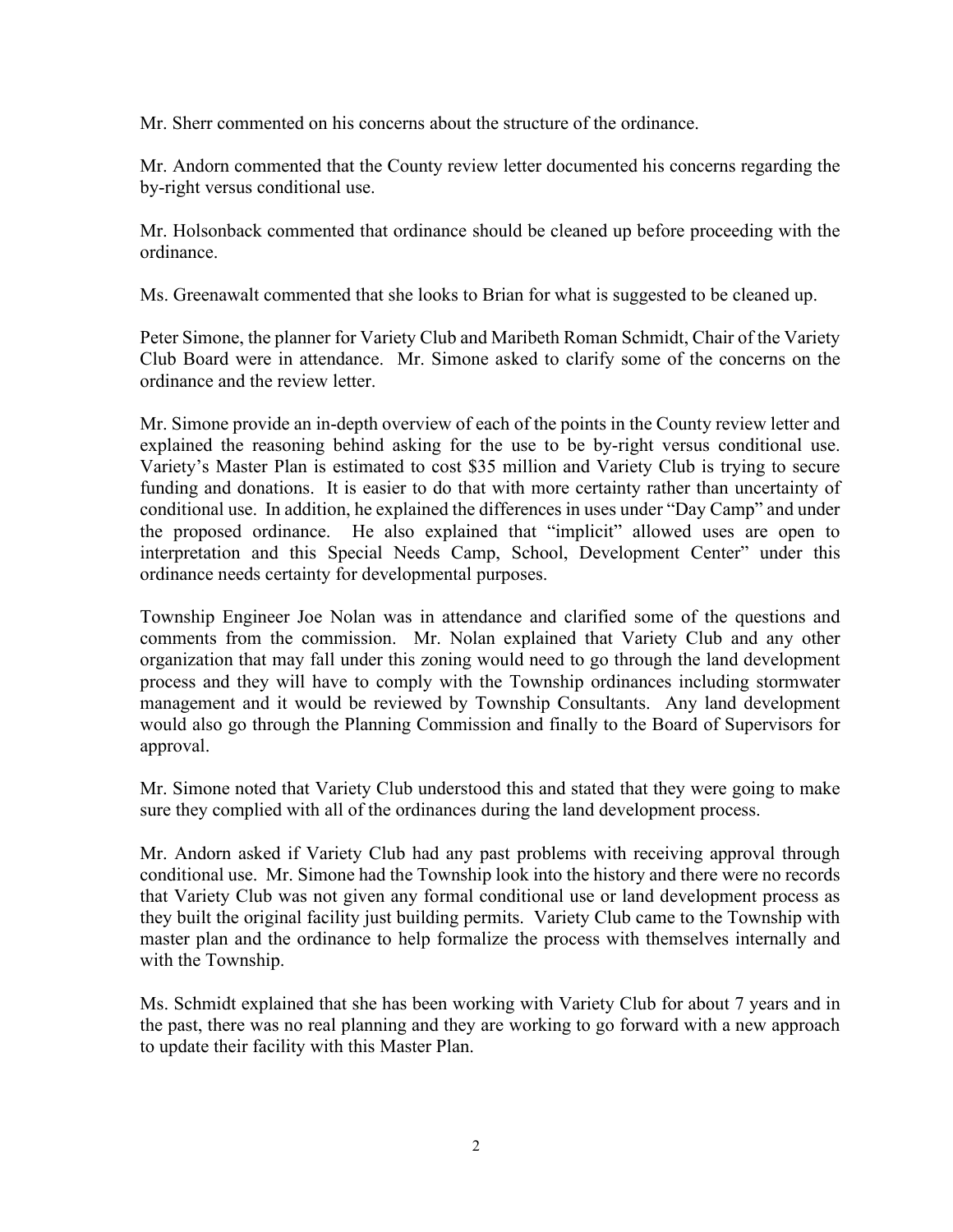Mr. Sherr commented on his concerns about the structure of the ordinance.

Mr. Andorn commented that the County review letter documented his concerns regarding the by-right versus conditional use.

Mr. Holsonback commented that ordinance should be cleaned up before proceeding with the ordinance.

Ms. Greenawalt commented that she looks to Brian for what is suggested to be cleaned up.

Peter Simone, the planner for Variety Club and Maribeth Roman Schmidt, Chair of the Variety Club Board were in attendance. Mr. Simone asked to clarify some of the concerns on the ordinance and the review letter.

Mr. Simone provide an in-depth overview of each of the points in the County review letter and explained the reasoning behind asking for the use to be by-right versus conditional use. Variety's Master Plan is estimated to cost \$35 million and Variety Club is trying to secure funding and donations. It is easier to do that with more certainty rather than uncertainty of conditional use. In addition, he explained the differences in uses under "Day Camp" and under the proposed ordinance. He also explained that "implicit" allowed uses are open to interpretation and this Special Needs Camp, School, Development Center" under this ordinance needs certainty for developmental purposes.

Township Engineer Joe Nolan was in attendance and clarified some of the questions and comments from the commission. Mr. Nolan explained that Variety Club and any other organization that may fall under this zoning would need to go through the land development process and they will have to comply with the Township ordinances including stormwater management and it would be reviewed by Township Consultants. Any land development would also go through the Planning Commission and finally to the Board of Supervisors for approval.

Mr. Simone noted that Variety Club understood this and stated that they were going to make sure they complied with all of the ordinances during the land development process.

Mr. Andorn asked if Variety Club had any past problems with receiving approval through conditional use. Mr. Simone had the Township look into the history and there were no records that Variety Club was not given any formal conditional use or land development process as they built the original facility just building permits. Variety Club came to the Township with master plan and the ordinance to help formalize the process with themselves internally and with the Township.

Ms. Schmidt explained that she has been working with Variety Club for about 7 years and in the past, there was no real planning and they are working to go forward with a new approach to update their facility with this Master Plan.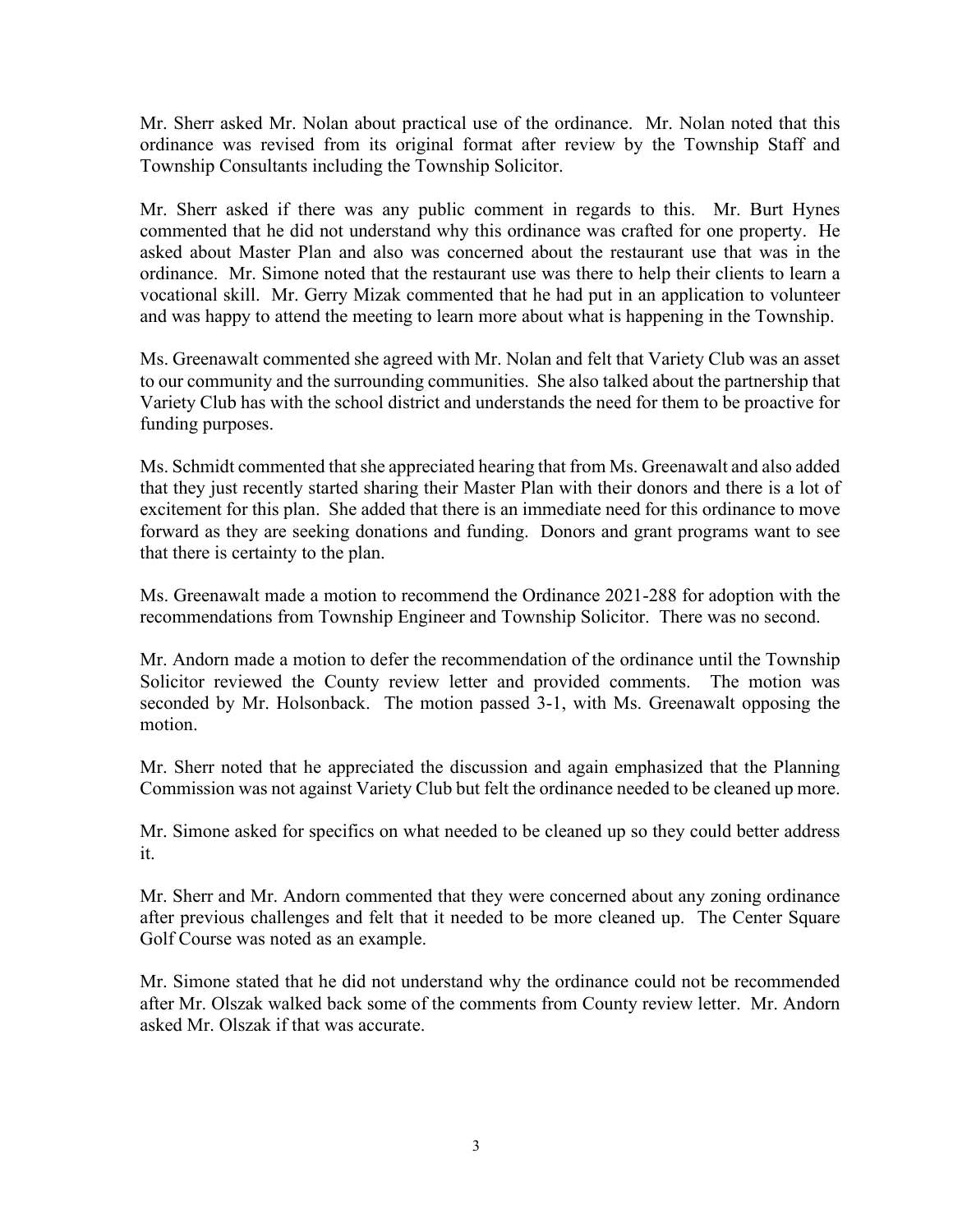Mr. Sherr asked Mr. Nolan about practical use of the ordinance. Mr. Nolan noted that this ordinance was revised from its original format after review by the Township Staff and Township Consultants including the Township Solicitor.

Mr. Sherr asked if there was any public comment in regards to this. Mr. Burt Hynes commented that he did not understand why this ordinance was crafted for one property. He asked about Master Plan and also was concerned about the restaurant use that was in the ordinance. Mr. Simone noted that the restaurant use was there to help their clients to learn a vocational skill. Mr. Gerry Mizak commented that he had put in an application to volunteer and was happy to attend the meeting to learn more about what is happening in the Township.

Ms. Greenawalt commented she agreed with Mr. Nolan and felt that Variety Club was an asset to our community and the surrounding communities. She also talked about the partnership that Variety Club has with the school district and understands the need for them to be proactive for funding purposes.

Ms. Schmidt commented that she appreciated hearing that from Ms. Greenawalt and also added that they just recently started sharing their Master Plan with their donors and there is a lot of excitement for this plan. She added that there is an immediate need for this ordinance to move forward as they are seeking donations and funding. Donors and grant programs want to see that there is certainty to the plan.

Ms. Greenawalt made a motion to recommend the Ordinance 2021-288 for adoption with the recommendations from Township Engineer and Township Solicitor. There was no second.

Mr. Andorn made a motion to defer the recommendation of the ordinance until the Township Solicitor reviewed the County review letter and provided comments. The motion was seconded by Mr. Holsonback. The motion passed 3-1, with Ms. Greenawalt opposing the motion.

Mr. Sherr noted that he appreciated the discussion and again emphasized that the Planning Commission was not against Variety Club but felt the ordinance needed to be cleaned up more.

Mr. Simone asked for specifics on what needed to be cleaned up so they could better address it.

Mr. Sherr and Mr. Andorn commented that they were concerned about any zoning ordinance after previous challenges and felt that it needed to be more cleaned up. The Center Square Golf Course was noted as an example.

Mr. Simone stated that he did not understand why the ordinance could not be recommended after Mr. Olszak walked back some of the comments from County review letter. Mr. Andorn asked Mr. Olszak if that was accurate.